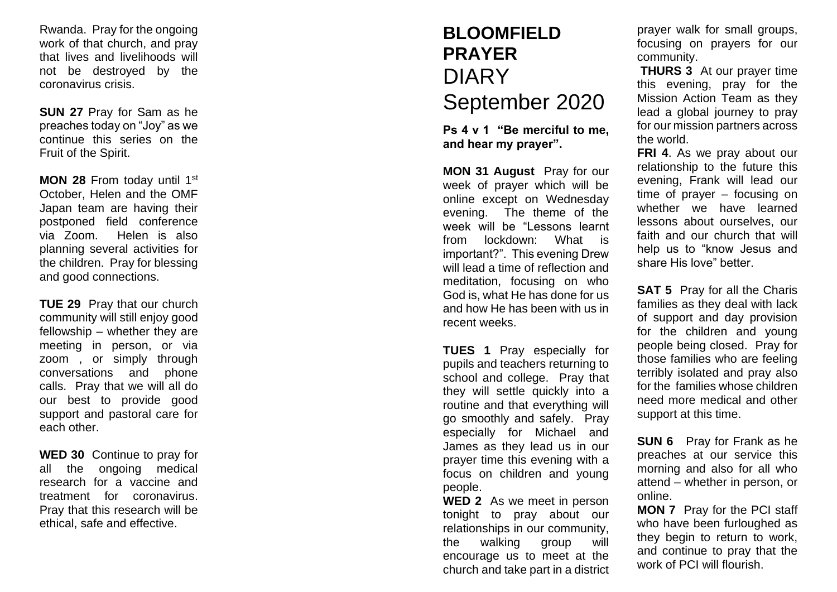Rwanda. Pray for the ongoing work of that church, and pray that lives and livelihoods will not be destroyed by the coronavirus crisis.

**SUN 2 7** Pray for Sam as he preaches today on "Joy" as we continue this series on the Fruit of the Spirit.

**MON 2 8** From today until 1st October, Helen and the OMF Japan team are having their postponed field conference via Zoom. Helen is also planning several activities for the children. Pray for blessing and good connections.

**TUE 2 9** Pray that our church community will still enjoy good fellowship – whether they are meeting in person, or via zoom , or simply through conversations and phone calls. Pray that we will all do our best to provide good support and pastoral care for each other.

**WED 30** Continue to pray for all the ongoing medical research for a vaccine and treatment for coronavirus . Pray that this research will be ethical, safe and effective.

## **BLOOMFIELD PRAYER**  DIARY September 2020

**Ps 4 v 1 "Be merciful to me, and hear my prayer".**

**MON 31 August** Pray for our week of prayer which will be online except on Wednesday evening. The theme of the week will be "Lessons learnt from lockdown: What is important?". This evening Drew will lead a time of reflection and meditation, focusing on who God is, what He has done for us and how He has been with us in recent weeks.

**TUES 1** Pray especially for pupils and teachers returning to school and college. Pray that they will settle quickly into a routine and that everything will go smoothly and safely. Pray especially for Michael and James as they lead us in our prayer time this evening with a focus on children and young people.

**WED 2** As we meet in person tonight to pray about our relationships in our community, the walking group will encourage us to meet at the church and take part in a district prayer walk for small groups, focusing on prayers for our community.

**THURS 3** At our prayer time this evening, pray for the Mission Action Team as they lead a global journey to pray for our mission partners across the world.

**FRI 4** . As we pray about our relationship to the future this evening, Frank will lead our time of prayer – focusing on whether we have learned lessons about ourselves, our faith and our church that will help us to "know Jesus and share His love" better.

**SAT 5** Pray for all the Charis families as they deal with lack of support and day provision for the children and young people being closed. Pray for those families who are feeling terribly isolated and pray also for the families whose children need more medical and other support at this time.

**SUN 6** Pray for Frank as he preaches at our service this morning and also for all who attend – whether in person, or online .

**MON 7** Pray for the PCI staff who have been furloughed as they begin to return to work, and continue to pray that the work of PCI will flourish .